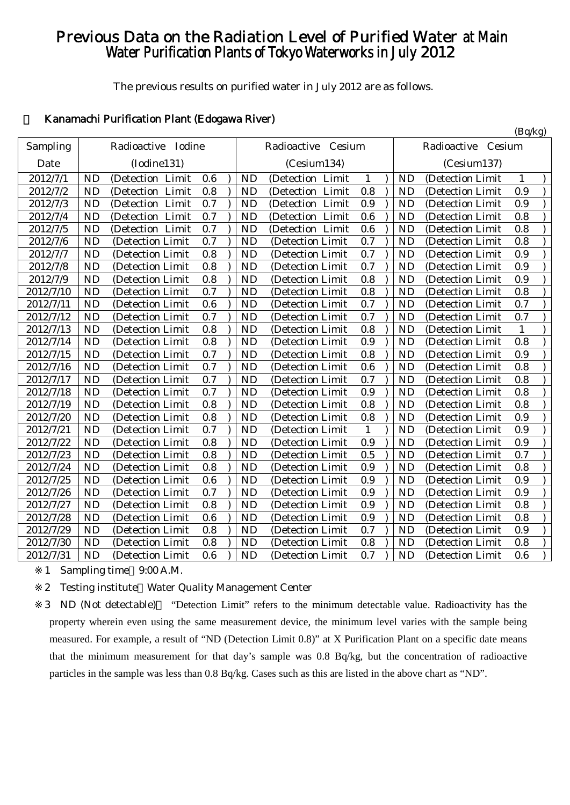# Previous Data on the Radiation Level of Purified Water at Main Water Purification Plants of Tokyo Waterworks in July 2012

The previous results on purified water in July 2012 are as follows.

# 1 Kanamachi Purification Plant (Edogawa River)

|           |           |                     |     |           |                    |              |           |                    | (Bq/kg)      |  |
|-----------|-----------|---------------------|-----|-----------|--------------------|--------------|-----------|--------------------|--------------|--|
| Sampling  |           | Radioactive Iodine  |     |           | Radioactive Cesium |              |           | Radioactive Cesium |              |  |
| Date      |           | (Iodine131)         |     |           | (Cesium134)        |              |           | (Cesium137)        |              |  |
| 2012/7/1  | <b>ND</b> | (Detection Limit    | 0.6 | <b>ND</b> | (Detection Limit   | 1            | <b>ND</b> | (Detection Limit   | 1            |  |
| 2012/7/2  | <b>ND</b> | Limit<br>(Detection | 0.8 | <b>ND</b> | (Detection Limit   | 0.8          | <b>ND</b> | (Detection Limit   | 0.9          |  |
| 2012/7/3  | <b>ND</b> | (Detection Limit    | 0.7 | <b>ND</b> | (Detection Limit   | 0.9          | <b>ND</b> | (Detection Limit   | 0.9          |  |
| 2012/7/4  | <b>ND</b> | (Detection Limit    | 0.7 | <b>ND</b> | (Detection Limit   | 0.6          | <b>ND</b> | (Detection Limit   | 0.8          |  |
| 2012/7/5  | <b>ND</b> | (Detection Limit    | 0.7 | <b>ND</b> | (Detection Limit   | 0.6          | <b>ND</b> | (Detection Limit   | 0.8          |  |
| 2012/7/6  | <b>ND</b> | (Detection Limit    | 0.7 | <b>ND</b> | (Detection Limit   | 0.7          | <b>ND</b> | (Detection Limit   | 0.8          |  |
| 2012/7/7  | <b>ND</b> | (Detection Limit    | 0.8 | <b>ND</b> | (Detection Limit   | 0.7          | <b>ND</b> | (Detection Limit   | 0.9          |  |
| 2012/7/8  | <b>ND</b> | (Detection Limit    | 0.8 | <b>ND</b> | (Detection Limit   | 0.7          | <b>ND</b> | (Detection Limit   | 0.9          |  |
| 2012/7/9  | <b>ND</b> | (Detection Limit    | 0.8 | <b>ND</b> | (Detection Limit)  | 0.8          | <b>ND</b> | (Detection Limit   | 0.9          |  |
| 2012/7/10 | <b>ND</b> | (Detection Limit    | 0.7 | <b>ND</b> | (Detection Limit   | 0.8          | <b>ND</b> | (Detection Limit   | 0.8          |  |
| 2012/7/11 | <b>ND</b> | (Detection Limit    | 0.6 | <b>ND</b> | (Detection Limit   | 0.7          | <b>ND</b> | (Detection Limit   | 0.7          |  |
| 2012/7/12 | <b>ND</b> | (Detection Limit)   | 0.7 | <b>ND</b> | (Detection Limit   | 0.7          | <b>ND</b> | (Detection Limit)  | 0.7          |  |
| 2012/7/13 | <b>ND</b> | (Detection Limit    | 0.8 | <b>ND</b> | (Detection Limit   | 0.8          | <b>ND</b> | (Detection Limit   | $\mathbf{1}$ |  |
| 2012/7/14 | <b>ND</b> | (Detection Limit    | 0.8 | <b>ND</b> | (Detection Limit   | 0.9          | <b>ND</b> | (Detection Limit   | 0.8          |  |
| 2012/7/15 | <b>ND</b> | (Detection Limit)   | 0.7 | <b>ND</b> | (Detection Limit)  | 0.8          | <b>ND</b> | (Detection Limit   | 0.9          |  |
| 2012/7/16 | <b>ND</b> | (Detection Limit    | 0.7 | <b>ND</b> | (Detection Limit   | 0.6          | <b>ND</b> | (Detection Limit   | 0.8          |  |
| 2012/7/17 | <b>ND</b> | (Detection Limit    | 0.7 | <b>ND</b> | (Detection Limit   | 0.7          | <b>ND</b> | (Detection Limit   | 0.8          |  |
| 2012/7/18 | <b>ND</b> | (Detection Limit    | 0.7 | <b>ND</b> | (Detection Limit   | 0.9          | <b>ND</b> | (Detection Limit   | 0.8          |  |
| 2012/7/19 | <b>ND</b> | (Detection Limit    | 0.8 | <b>ND</b> | (Detection Limit   | 0.8          | <b>ND</b> | (Detection Limit   | 0.8          |  |
| 2012/7/20 | <b>ND</b> | (Detection Limit    | 0.8 | <b>ND</b> | (Detection Limit   | 0.8          | <b>ND</b> | (Detection Limit   | 0.9          |  |
| 2012/7/21 | <b>ND</b> | (Detection Limit    | 0.7 | <b>ND</b> | (Detection Limit   | $\mathbf{1}$ | <b>ND</b> | (Detection Limit   | 0.9          |  |
| 2012/7/22 | <b>ND</b> | (Detection Limit    | 0.8 | <b>ND</b> | (Detection Limit   | 0.9          | <b>ND</b> | (Detection Limit   | 0.9          |  |
| 2012/7/23 | <b>ND</b> | (Detection Limit    | 0.8 | <b>ND</b> | (Detection Limit   | 0.5          | <b>ND</b> | (Detection Limit   | 0.7          |  |
| 2012/7/24 | <b>ND</b> | (Detection Limit)   | 0.8 | <b>ND</b> | (Detection Limit   | 0.9          | <b>ND</b> | (Detection Limit)  | 0.8          |  |
| 2012/7/25 | <b>ND</b> | (Detection Limit    | 0.6 | <b>ND</b> | (Detection Limit   | 0.9          | <b>ND</b> | (Detection Limit   | 0.9          |  |
| 2012/7/26 | <b>ND</b> | (Detection Limit    | 0.7 | <b>ND</b> | (Detection Limit   | 0.9          | <b>ND</b> | (Detection Limit   | 0.9          |  |
| 2012/7/27 | <b>ND</b> | (Detection Limit)   | 0.8 | <b>ND</b> | (Detection Limit   | 0.9          | <b>ND</b> | (Detection Limit   | 0.8          |  |
| 2012/7/28 | <b>ND</b> | (Detection Limit    | 0.6 | <b>ND</b> | (Detection Limit   | 0.9          | <b>ND</b> | (Detection Limit   | 0.8          |  |
| 2012/7/29 | <b>ND</b> | (Detection Limit    | 0.8 | <b>ND</b> | (Detection Limit   | 0.7          | <b>ND</b> | (Detection Limit   | 0.9          |  |
| 2012/7/30 | <b>ND</b> | (Detection Limit)   | 0.8 | <b>ND</b> | (Detection Limit)  | 0.8          | <b>ND</b> | (Detection Limit   | 0.8          |  |
| 2012/7/31 | <b>ND</b> | (Detection Limit    | 0.6 | <b>ND</b> | (Detection Limit   | 0.7          | <b>ND</b> | (Detection Limit   | 0.6          |  |

1 Sampling time 9:00 A.M.

2 Testing institute Water Quality Management Center

3 ND (Not detectable) "Detection Limit" refers to the minimum detectable value. Radioactivity has the property wherein even using the same measurement device, the minimum level varies with the sample being measured. For example, a result of "ND (Detection Limit 0.8)" at X Purification Plant on a specific date means that the minimum measurement for that day's sample was 0.8 Bq/kg, but the concentration of radioactive particles in the sample was less than 0.8 Bq/kg. Cases such as this are listed in the above chart as "ND".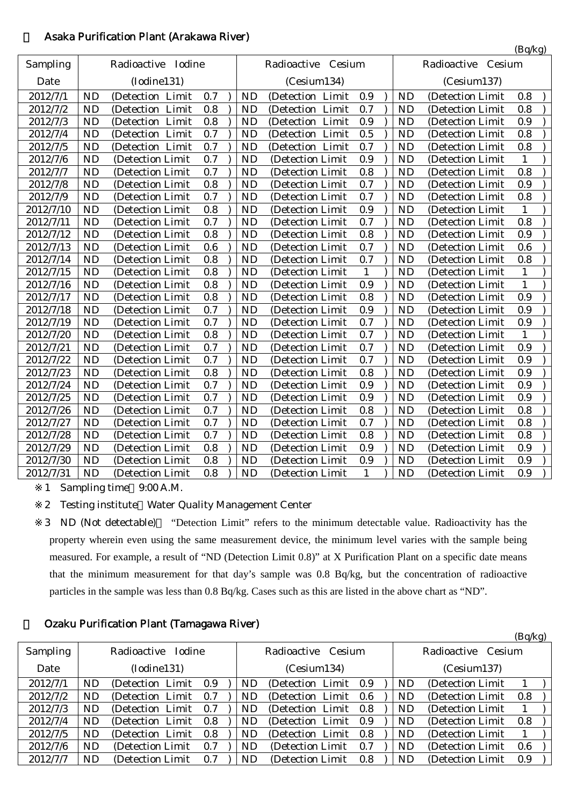|           |           |                     |     |           |                     |              |           |                       | (Bq/kg)      |  |
|-----------|-----------|---------------------|-----|-----------|---------------------|--------------|-----------|-----------------------|--------------|--|
| Sampling  |           | Radioactive Iodine  |     |           | Radioactive Cesium  |              |           | Cesium<br>Radioactive |              |  |
| Date      |           | (Iodine131)         |     |           | (Cesium134)         |              |           | (Cesium137)           |              |  |
| 2012/7/1  | <b>ND</b> | (Detection Limit    | 0.7 | <b>ND</b> | (Detection Limit    | 0.9          | <b>ND</b> | (Detection Limit      | 0.8          |  |
| 2012/7/2  | <b>ND</b> | Limit<br>(Detection | 0.8 | <b>ND</b> | Limit<br>(Detection | 0.7          | <b>ND</b> | (Detection Limit      | 0.8          |  |
| 2012/7/3  | <b>ND</b> | (Detection Limit    | 0.8 | <b>ND</b> | (Detection Limit    | 0.9          | <b>ND</b> | (Detection Limit      | 0.9          |  |
| 2012/7/4  | <b>ND</b> | (Detection Limit    | 0.7 | <b>ND</b> | (Detection Limit    | 0.5          | <b>ND</b> | (Detection Limit)     | 0.8          |  |
| 2012/7/5  | <b>ND</b> | (Detection Limit    | 0.7 | <b>ND</b> | (Detection Limit    | 0.7          | <b>ND</b> | (Detection Limit      | 0.8          |  |
| 2012/7/6  | <b>ND</b> | (Detection Limit    | 0.7 | <b>ND</b> | (Detection Limit    | 0.9          | <b>ND</b> | (Detection Limit      | $\mathbf{1}$ |  |
| 2012/7/7  | <b>ND</b> | (Detection Limit    | 0.7 | <b>ND</b> | (Detection Limit    | 0.8          | <b>ND</b> | (Detection Limit      | 0.8          |  |
| 2012/7/8  | <b>ND</b> | (Detection Limit    | 0.8 | <b>ND</b> | (Detection Limit    | 0.7          | <b>ND</b> | (Detection Limit      | 0.9          |  |
| 2012/7/9  | <b>ND</b> | (Detection Limit    | 0.7 | <b>ND</b> | (Detection Limit    | 0.7          | <b>ND</b> | (Detection Limit      | 0.8          |  |
| 2012/7/10 | <b>ND</b> | (Detection Limit)   | 0.8 | <b>ND</b> | (Detection Limit    | 0.9          | <b>ND</b> | (Detection Limit)     | 1            |  |
| 2012/7/11 | <b>ND</b> | (Detection Limit    | 0.7 | <b>ND</b> | (Detection Limit    | 0.7          | <b>ND</b> | (Detection Limit      | 0.8          |  |
| 2012/7/12 | <b>ND</b> | (Detection Limit    | 0.8 | <b>ND</b> | (Detection Limit    | 0.8          | <b>ND</b> | (Detection Limit      | 0.9          |  |
| 2012/7/13 | <b>ND</b> | (Detection Limit    | 0.6 | <b>ND</b> | (Detection Limit    | 0.7          | <b>ND</b> | (Detection Limit      | 0.6          |  |
| 2012/7/14 | <b>ND</b> | (Detection Limit    | 0.8 | <b>ND</b> | (Detection Limit    | 0.7          | <b>ND</b> | (Detection Limit      | 0.8          |  |
| 2012/7/15 | <b>ND</b> | (Detection Limit    | 0.8 | <b>ND</b> | (Detection Limit    | $\mathbf{1}$ | <b>ND</b> | (Detection Limit      | $\mathbf{1}$ |  |
| 2012/7/16 | <b>ND</b> | (Detection Limit    | 0.8 | <b>ND</b> | (Detection Limit    | 0.9          | <b>ND</b> | (Detection Limit      | $\mathbf{1}$ |  |
| 2012/7/17 | <b>ND</b> | (Detection Limit    | 0.8 | <b>ND</b> | (Detection Limit    | 0.8          | <b>ND</b> | (Detection Limit      | 0.9          |  |
| 2012/7/18 | <b>ND</b> | (Detection Limit    | 0.7 | <b>ND</b> | (Detection Limit    | 0.9          | <b>ND</b> | (Detection Limit      | 0.9          |  |
| 2012/7/19 | <b>ND</b> | (Detection Limit    | 0.7 | <b>ND</b> | (Detection Limit    | 0.7          | <b>ND</b> | (Detection Limit      | 0.9          |  |
| 2012/7/20 | <b>ND</b> | (Detection Limit    | 0.8 | <b>ND</b> | (Detection Limit    | 0.7          | <b>ND</b> | (Detection Limit      | $\mathbf{1}$ |  |
| 2012/7/21 | <b>ND</b> | (Detection Limit    | 0.7 | <b>ND</b> | (Detection Limit    | 0.7          | <b>ND</b> | (Detection Limit)     | 0.9          |  |
| 2012/7/22 | <b>ND</b> | (Detection Limit    | 0.7 | <b>ND</b> | (Detection Limit    | 0.7          | <b>ND</b> | (Detection Limit      | 0.9          |  |
| 2012/7/23 | <b>ND</b> | (Detection Limit    | 0.8 | <b>ND</b> | (Detection Limit    | 0.8          | <b>ND</b> | (Detection Limit      | 0.9          |  |
| 2012/7/24 | <b>ND</b> | (Detection Limit    | 0.7 | <b>ND</b> | (Detection Limit    | 0.9          | <b>ND</b> | (Detection Limit      | 0.9          |  |
| 2012/7/25 | <b>ND</b> | (Detection Limit    | 0.7 | <b>ND</b> | (Detection Limit    | 0.9          | <b>ND</b> | (Detection Limit      | 0.9          |  |
| 2012/7/26 | <b>ND</b> | (Detection Limit    | 0.7 | <b>ND</b> | (Detection Limit    | 0.8          | <b>ND</b> | (Detection Limit      | 0.8          |  |
| 2012/7/27 | <b>ND</b> | (Detection Limit    | 0.7 | <b>ND</b> | (Detection Limit    | 0.7          | <b>ND</b> | (Detection Limit      | 0.8          |  |
| 2012/7/28 | <b>ND</b> | (Detection Limit    | 0.7 | <b>ND</b> | (Detection Limit    | 0.8          | <b>ND</b> | (Detection Limit      | 0.8          |  |
| 2012/7/29 | <b>ND</b> | (Detection Limit    | 0.8 | <b>ND</b> | (Detection Limit    | 0.9          | <b>ND</b> | (Detection Limit      | 0.9          |  |
| 2012/7/30 | <b>ND</b> | (Detection Limit    | 0.8 | <b>ND</b> | (Detection Limit    | 0.9          | <b>ND</b> | (Detection Limit      | 0.9          |  |
| 2012/7/31 | <b>ND</b> | (Detection Limit    | 0.8 | <b>ND</b> | (Detection Limit    | $\mathbf{1}$ | <b>ND</b> | (Detection Limit      | 0.9          |  |
|           |           |                     |     |           |                     |              |           |                       |              |  |

# 2 Asaka Purification Plant (Arakawa River)

1 Sampling time 9:00 A.M.

2 Testing institute Water Quality Management Center

3 ND (Not detectable) "Detection Limit" refers to the minimum detectable value. Radioactivity has the property wherein even using the same measurement device, the minimum level varies with the sample being measured. For example, a result of "ND (Detection Limit 0.8)" at X Purification Plant on a specific date means that the minimum measurement for that day's sample was 0.8 Bq/kg, but the concentration of radioactive particles in the sample was less than 0.8 Bq/kg. Cases such as this are listed in the above chart as "ND".

 $(D<sub>g</sub>/k<sub>g</sub>)$ 

# 3 Ozaku Purification Plant (Tamagawa River)

|                 |           |                       |         |    |                       |     |           |                    | $(\mathbf{D}\mathbf{y})$ |  |
|-----------------|-----------|-----------------------|---------|----|-----------------------|-----|-----------|--------------------|--------------------------|--|
| <b>Sampling</b> |           | Radioactive<br>Iodine |         |    | Radioactive Cesium    |     |           | Radioactive Cesium |                          |  |
| Date            |           | (Iodine131)           |         |    | (Cesium134)           |     |           | (Cesium137)        |                          |  |
| 2012/7/1        | ND        | (Detection Limit)     | 0.9     | ND | (Detection Limit 0.9) |     | <b>ND</b> | (Detection Limit)  |                          |  |
| 2012/7/2        | ND        | (Detection Limit)     | 0.7     | ND | (Detection Limit 0.6) |     | <b>ND</b> | (Detection Limit)  | 0.8                      |  |
| 2012/7/3        | <b>ND</b> | (Detection Limit)     | 0.7     | ND | (Detection Limit 0.8) |     | <b>ND</b> | (Detection Limit)  |                          |  |
| 2012/7/4        | <b>ND</b> | (Detection Limit)     | $0.8\,$ | ND | (Detection Limit 0.9) |     | <b>ND</b> | (Detection Limit)  | 0.8                      |  |
| 2012/7/5        | <b>ND</b> | (Detection Limit)     | 0.8     | ND | (Detection Limit 0.8) |     | <b>ND</b> | (Detection Limit)  |                          |  |
| 2012/7/6        | <b>ND</b> | (Detection Limit)     | 0.7     | ND | (Detection Limit)     | 0.7 | <b>ND</b> | (Detection Limit)  | 0.6                      |  |
| 2012/7/7        | ND.       | (Detection Limit)     | 0.7     | ND | (Detection Limit)     | 0.8 | ND.       | (Detection Limit)  | 0.9                      |  |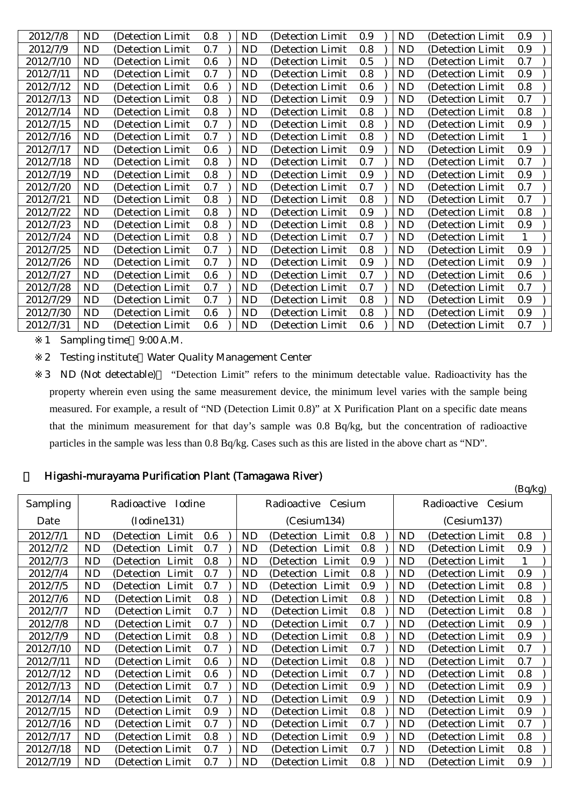| 2012/7/8<br><b>ND</b><br>0.8<br>0.9<br>(Detection Limit)<br><b>ND</b><br>(Detection Limit<br>0.9<br><b>ND</b><br>(Detection Limit<br>0.9<br>2012/7/9<br><b>ND</b><br>0.7<br>0.8<br>(Detection Limit<br><b>ND</b><br>(Detection Limit<br><b>ND</b><br>(Detection Limit<br>0.6<br>0.5<br>2012/7/10<br><b>ND</b><br>0.7<br>(Detection Limit<br><b>ND</b><br>(Detection Limit<br><b>ND</b><br>(Detection Limit<br>2012/7/11<br>0.7<br>0.8<br>0.9<br><b>ND</b><br><b>ND</b><br><b>ND</b><br>(Detection Limit)<br>(Detection Limit<br>(Detection Limit<br>0.6<br>0.8<br>2012/7/12<br>0.6<br>ND<br>(Detection Limit)<br>ND<br>(Detection Limit<br><b>ND</b><br>(Detection Limit<br>2012/7/13<br>0.8<br>0.9<br>0.7<br>ND<br>ND<br><b>ND</b><br>(Detection Limit)<br>(Detection Limit<br>(Detection Limit)<br>2012/7/14<br>0.8<br>0.8<br>0.8<br>ND<br>(Detection Limit)<br>ND<br>ND<br>(Detection Limit<br>(Detection Limit)<br>2012/7/15<br>0.7<br>0.8<br>0.9<br>ND<br>(Detection Limit)<br><b>ND</b><br><b>ND</b><br>(Detection Limit<br>(Detection Limit<br>2012/7/16<br>0.7<br>0.8<br>ND<br>(Detection Limit<br><b>ND</b><br>(Detection Limit<br><b>ND</b><br>(Detection Limit<br>1<br>2012/7/17<br>0.6<br>0.9<br>ND<br>(Detection Limit)<br><b>ND</b><br>0.9<br><b>ND</b><br>(Detection Limit)<br>(Detection Limit<br>2012/7/18<br>0.8<br>0.7<br>0.7<br><b>ND</b><br><b>ND</b><br><b>ND</b><br>(Detection Limit)<br>(Detection Limit)<br>(Detection Limit<br>0.8<br>0.9<br>2012/7/19<br>0.9<br>ND<br>(Detection Limit)<br><b>ND</b><br>(Detection Limit<br><b>ND</b><br>(Detection Limit<br>0.7<br>0.7<br>0.7<br>2012/7/20<br><b>ND</b><br>(Detection Limit)<br><b>ND</b><br>(Detection Limit<br><b>ND</b><br>(Detection Limit<br>0.8<br>0.8<br>0.7<br>2012/7/21<br><b>ND</b><br>(Detection Limit<br>ND<br>(Detection Limit<br>ND<br>(Detection Limit<br>2012/7/22<br>0.8<br>0.9<br>0.8<br><b>ND</b><br>(Detection Limit)<br>ND<br>(Detection Limit<br>ND<br>(Detection Limit<br>2012/7/23<br>0.8<br>0.8<br>0.9<br><b>ND</b><br><b>ND</b><br>(Detection Limit<br><b>ND</b><br>(Detection Limit<br>(Detection Limit<br>2012/7/24<br>0.8<br>0.7<br><b>ND</b><br>(Detection Limit<br><b>ND</b><br>ND<br>(Detection Limit<br>(Detection Limit<br>0.8<br>0.9<br>2012/7/25<br><b>ND</b><br>0.7<br>(Detection Limit<br><b>ND</b><br>ND<br>(Detection Limit<br>(Detection Limit<br>0.9<br>0.7<br>0.9<br>2012/7/26<br><b>ND</b><br>ND<br><b>ND</b><br>(Detection Limit)<br>(Detection Limit<br>(Detection Limit<br>0.6<br>2012/7/27<br><b>ND</b><br>0.6<br>0.7<br>(Detection Limit)<br>ND<br>(Detection Limit<br>ND<br>(Detection Limit<br>2012/7/28<br><b>ND</b><br>0.7<br>0.7<br><b>ND</b><br>0.7<br>(Detection Limit)<br>ND<br>(Detection Limit<br>(Detection Limit<br>0.9<br>2012/7/29<br><b>ND</b><br>0.7<br>ND<br>0.8<br><b>ND</b><br>(Detection Limit)<br>(Detection Limit<br>(Detection Limit<br>2012/7/30<br><b>ND</b><br>0.6<br>0.8<br><b>ND</b><br>0.9<br>(Detection Limit)<br><b>ND</b><br>(Detection Limit<br>(Detection Limit)<br>2012/7/31<br>0.6<br>0.6<br>0.7<br>ND<br>(Detection Limit<br>ND<br>ND<br>(Detection Limit<br>(Detection Limit |  |  |  |  |  |  |  |
|-------------------------------------------------------------------------------------------------------------------------------------------------------------------------------------------------------------------------------------------------------------------------------------------------------------------------------------------------------------------------------------------------------------------------------------------------------------------------------------------------------------------------------------------------------------------------------------------------------------------------------------------------------------------------------------------------------------------------------------------------------------------------------------------------------------------------------------------------------------------------------------------------------------------------------------------------------------------------------------------------------------------------------------------------------------------------------------------------------------------------------------------------------------------------------------------------------------------------------------------------------------------------------------------------------------------------------------------------------------------------------------------------------------------------------------------------------------------------------------------------------------------------------------------------------------------------------------------------------------------------------------------------------------------------------------------------------------------------------------------------------------------------------------------------------------------------------------------------------------------------------------------------------------------------------------------------------------------------------------------------------------------------------------------------------------------------------------------------------------------------------------------------------------------------------------------------------------------------------------------------------------------------------------------------------------------------------------------------------------------------------------------------------------------------------------------------------------------------------------------------------------------------------------------------------------------------------------------------------------------------------------------------------------------------------------------------------------------------------------------------------------------------------------------------------------------------------------------------------------------------------------------------------------------------------------------------------------------------------------------------------------------------------------------------------------------------------------------------------------------------------------------------|--|--|--|--|--|--|--|
|                                                                                                                                                                                                                                                                                                                                                                                                                                                                                                                                                                                                                                                                                                                                                                                                                                                                                                                                                                                                                                                                                                                                                                                                                                                                                                                                                                                                                                                                                                                                                                                                                                                                                                                                                                                                                                                                                                                                                                                                                                                                                                                                                                                                                                                                                                                                                                                                                                                                                                                                                                                                                                                                                                                                                                                                                                                                                                                                                                                                                                                                                                                                                 |  |  |  |  |  |  |  |
|                                                                                                                                                                                                                                                                                                                                                                                                                                                                                                                                                                                                                                                                                                                                                                                                                                                                                                                                                                                                                                                                                                                                                                                                                                                                                                                                                                                                                                                                                                                                                                                                                                                                                                                                                                                                                                                                                                                                                                                                                                                                                                                                                                                                                                                                                                                                                                                                                                                                                                                                                                                                                                                                                                                                                                                                                                                                                                                                                                                                                                                                                                                                                 |  |  |  |  |  |  |  |
|                                                                                                                                                                                                                                                                                                                                                                                                                                                                                                                                                                                                                                                                                                                                                                                                                                                                                                                                                                                                                                                                                                                                                                                                                                                                                                                                                                                                                                                                                                                                                                                                                                                                                                                                                                                                                                                                                                                                                                                                                                                                                                                                                                                                                                                                                                                                                                                                                                                                                                                                                                                                                                                                                                                                                                                                                                                                                                                                                                                                                                                                                                                                                 |  |  |  |  |  |  |  |
|                                                                                                                                                                                                                                                                                                                                                                                                                                                                                                                                                                                                                                                                                                                                                                                                                                                                                                                                                                                                                                                                                                                                                                                                                                                                                                                                                                                                                                                                                                                                                                                                                                                                                                                                                                                                                                                                                                                                                                                                                                                                                                                                                                                                                                                                                                                                                                                                                                                                                                                                                                                                                                                                                                                                                                                                                                                                                                                                                                                                                                                                                                                                                 |  |  |  |  |  |  |  |
|                                                                                                                                                                                                                                                                                                                                                                                                                                                                                                                                                                                                                                                                                                                                                                                                                                                                                                                                                                                                                                                                                                                                                                                                                                                                                                                                                                                                                                                                                                                                                                                                                                                                                                                                                                                                                                                                                                                                                                                                                                                                                                                                                                                                                                                                                                                                                                                                                                                                                                                                                                                                                                                                                                                                                                                                                                                                                                                                                                                                                                                                                                                                                 |  |  |  |  |  |  |  |
|                                                                                                                                                                                                                                                                                                                                                                                                                                                                                                                                                                                                                                                                                                                                                                                                                                                                                                                                                                                                                                                                                                                                                                                                                                                                                                                                                                                                                                                                                                                                                                                                                                                                                                                                                                                                                                                                                                                                                                                                                                                                                                                                                                                                                                                                                                                                                                                                                                                                                                                                                                                                                                                                                                                                                                                                                                                                                                                                                                                                                                                                                                                                                 |  |  |  |  |  |  |  |
|                                                                                                                                                                                                                                                                                                                                                                                                                                                                                                                                                                                                                                                                                                                                                                                                                                                                                                                                                                                                                                                                                                                                                                                                                                                                                                                                                                                                                                                                                                                                                                                                                                                                                                                                                                                                                                                                                                                                                                                                                                                                                                                                                                                                                                                                                                                                                                                                                                                                                                                                                                                                                                                                                                                                                                                                                                                                                                                                                                                                                                                                                                                                                 |  |  |  |  |  |  |  |
|                                                                                                                                                                                                                                                                                                                                                                                                                                                                                                                                                                                                                                                                                                                                                                                                                                                                                                                                                                                                                                                                                                                                                                                                                                                                                                                                                                                                                                                                                                                                                                                                                                                                                                                                                                                                                                                                                                                                                                                                                                                                                                                                                                                                                                                                                                                                                                                                                                                                                                                                                                                                                                                                                                                                                                                                                                                                                                                                                                                                                                                                                                                                                 |  |  |  |  |  |  |  |
|                                                                                                                                                                                                                                                                                                                                                                                                                                                                                                                                                                                                                                                                                                                                                                                                                                                                                                                                                                                                                                                                                                                                                                                                                                                                                                                                                                                                                                                                                                                                                                                                                                                                                                                                                                                                                                                                                                                                                                                                                                                                                                                                                                                                                                                                                                                                                                                                                                                                                                                                                                                                                                                                                                                                                                                                                                                                                                                                                                                                                                                                                                                                                 |  |  |  |  |  |  |  |
|                                                                                                                                                                                                                                                                                                                                                                                                                                                                                                                                                                                                                                                                                                                                                                                                                                                                                                                                                                                                                                                                                                                                                                                                                                                                                                                                                                                                                                                                                                                                                                                                                                                                                                                                                                                                                                                                                                                                                                                                                                                                                                                                                                                                                                                                                                                                                                                                                                                                                                                                                                                                                                                                                                                                                                                                                                                                                                                                                                                                                                                                                                                                                 |  |  |  |  |  |  |  |
|                                                                                                                                                                                                                                                                                                                                                                                                                                                                                                                                                                                                                                                                                                                                                                                                                                                                                                                                                                                                                                                                                                                                                                                                                                                                                                                                                                                                                                                                                                                                                                                                                                                                                                                                                                                                                                                                                                                                                                                                                                                                                                                                                                                                                                                                                                                                                                                                                                                                                                                                                                                                                                                                                                                                                                                                                                                                                                                                                                                                                                                                                                                                                 |  |  |  |  |  |  |  |
|                                                                                                                                                                                                                                                                                                                                                                                                                                                                                                                                                                                                                                                                                                                                                                                                                                                                                                                                                                                                                                                                                                                                                                                                                                                                                                                                                                                                                                                                                                                                                                                                                                                                                                                                                                                                                                                                                                                                                                                                                                                                                                                                                                                                                                                                                                                                                                                                                                                                                                                                                                                                                                                                                                                                                                                                                                                                                                                                                                                                                                                                                                                                                 |  |  |  |  |  |  |  |
|                                                                                                                                                                                                                                                                                                                                                                                                                                                                                                                                                                                                                                                                                                                                                                                                                                                                                                                                                                                                                                                                                                                                                                                                                                                                                                                                                                                                                                                                                                                                                                                                                                                                                                                                                                                                                                                                                                                                                                                                                                                                                                                                                                                                                                                                                                                                                                                                                                                                                                                                                                                                                                                                                                                                                                                                                                                                                                                                                                                                                                                                                                                                                 |  |  |  |  |  |  |  |
|                                                                                                                                                                                                                                                                                                                                                                                                                                                                                                                                                                                                                                                                                                                                                                                                                                                                                                                                                                                                                                                                                                                                                                                                                                                                                                                                                                                                                                                                                                                                                                                                                                                                                                                                                                                                                                                                                                                                                                                                                                                                                                                                                                                                                                                                                                                                                                                                                                                                                                                                                                                                                                                                                                                                                                                                                                                                                                                                                                                                                                                                                                                                                 |  |  |  |  |  |  |  |
|                                                                                                                                                                                                                                                                                                                                                                                                                                                                                                                                                                                                                                                                                                                                                                                                                                                                                                                                                                                                                                                                                                                                                                                                                                                                                                                                                                                                                                                                                                                                                                                                                                                                                                                                                                                                                                                                                                                                                                                                                                                                                                                                                                                                                                                                                                                                                                                                                                                                                                                                                                                                                                                                                                                                                                                                                                                                                                                                                                                                                                                                                                                                                 |  |  |  |  |  |  |  |
|                                                                                                                                                                                                                                                                                                                                                                                                                                                                                                                                                                                                                                                                                                                                                                                                                                                                                                                                                                                                                                                                                                                                                                                                                                                                                                                                                                                                                                                                                                                                                                                                                                                                                                                                                                                                                                                                                                                                                                                                                                                                                                                                                                                                                                                                                                                                                                                                                                                                                                                                                                                                                                                                                                                                                                                                                                                                                                                                                                                                                                                                                                                                                 |  |  |  |  |  |  |  |
|                                                                                                                                                                                                                                                                                                                                                                                                                                                                                                                                                                                                                                                                                                                                                                                                                                                                                                                                                                                                                                                                                                                                                                                                                                                                                                                                                                                                                                                                                                                                                                                                                                                                                                                                                                                                                                                                                                                                                                                                                                                                                                                                                                                                                                                                                                                                                                                                                                                                                                                                                                                                                                                                                                                                                                                                                                                                                                                                                                                                                                                                                                                                                 |  |  |  |  |  |  |  |
|                                                                                                                                                                                                                                                                                                                                                                                                                                                                                                                                                                                                                                                                                                                                                                                                                                                                                                                                                                                                                                                                                                                                                                                                                                                                                                                                                                                                                                                                                                                                                                                                                                                                                                                                                                                                                                                                                                                                                                                                                                                                                                                                                                                                                                                                                                                                                                                                                                                                                                                                                                                                                                                                                                                                                                                                                                                                                                                                                                                                                                                                                                                                                 |  |  |  |  |  |  |  |
|                                                                                                                                                                                                                                                                                                                                                                                                                                                                                                                                                                                                                                                                                                                                                                                                                                                                                                                                                                                                                                                                                                                                                                                                                                                                                                                                                                                                                                                                                                                                                                                                                                                                                                                                                                                                                                                                                                                                                                                                                                                                                                                                                                                                                                                                                                                                                                                                                                                                                                                                                                                                                                                                                                                                                                                                                                                                                                                                                                                                                                                                                                                                                 |  |  |  |  |  |  |  |
|                                                                                                                                                                                                                                                                                                                                                                                                                                                                                                                                                                                                                                                                                                                                                                                                                                                                                                                                                                                                                                                                                                                                                                                                                                                                                                                                                                                                                                                                                                                                                                                                                                                                                                                                                                                                                                                                                                                                                                                                                                                                                                                                                                                                                                                                                                                                                                                                                                                                                                                                                                                                                                                                                                                                                                                                                                                                                                                                                                                                                                                                                                                                                 |  |  |  |  |  |  |  |
|                                                                                                                                                                                                                                                                                                                                                                                                                                                                                                                                                                                                                                                                                                                                                                                                                                                                                                                                                                                                                                                                                                                                                                                                                                                                                                                                                                                                                                                                                                                                                                                                                                                                                                                                                                                                                                                                                                                                                                                                                                                                                                                                                                                                                                                                                                                                                                                                                                                                                                                                                                                                                                                                                                                                                                                                                                                                                                                                                                                                                                                                                                                                                 |  |  |  |  |  |  |  |
|                                                                                                                                                                                                                                                                                                                                                                                                                                                                                                                                                                                                                                                                                                                                                                                                                                                                                                                                                                                                                                                                                                                                                                                                                                                                                                                                                                                                                                                                                                                                                                                                                                                                                                                                                                                                                                                                                                                                                                                                                                                                                                                                                                                                                                                                                                                                                                                                                                                                                                                                                                                                                                                                                                                                                                                                                                                                                                                                                                                                                                                                                                                                                 |  |  |  |  |  |  |  |
|                                                                                                                                                                                                                                                                                                                                                                                                                                                                                                                                                                                                                                                                                                                                                                                                                                                                                                                                                                                                                                                                                                                                                                                                                                                                                                                                                                                                                                                                                                                                                                                                                                                                                                                                                                                                                                                                                                                                                                                                                                                                                                                                                                                                                                                                                                                                                                                                                                                                                                                                                                                                                                                                                                                                                                                                                                                                                                                                                                                                                                                                                                                                                 |  |  |  |  |  |  |  |
|                                                                                                                                                                                                                                                                                                                                                                                                                                                                                                                                                                                                                                                                                                                                                                                                                                                                                                                                                                                                                                                                                                                                                                                                                                                                                                                                                                                                                                                                                                                                                                                                                                                                                                                                                                                                                                                                                                                                                                                                                                                                                                                                                                                                                                                                                                                                                                                                                                                                                                                                                                                                                                                                                                                                                                                                                                                                                                                                                                                                                                                                                                                                                 |  |  |  |  |  |  |  |

1 Sampling time 9:00 A.M.

2 Testing institute Water Quality Management Center

3 ND (Not detectable) "Detection Limit" refers to the minimum detectable value. Radioactivity has the property wherein even using the same measurement device, the minimum level varies with the sample being measured. For example, a result of "ND (Detection Limit 0.8)" at X Purification Plant on a specific date means that the minimum measurement for that day's sample was 0.8 Bq/kg, but the concentration of radioactive particles in the sample was less than 0.8 Bq/kg. Cases such as this are listed in the above chart as "ND".

### 4 Higashi-murayama Purification Plant (Tamagawa River)

| ິ         |           |                       |     |           |                       |     |           |                       | (Bq/kg) |
|-----------|-----------|-----------------------|-----|-----------|-----------------------|-----|-----------|-----------------------|---------|
| Sampling  |           | Radioactive<br>Iodine |     |           | Radioactive<br>Cesium |     |           | Radioactive<br>Cesium |         |
| Date      |           | (Iodine131)           |     |           | (Cesium134)           |     |           | (Cesium137)           |         |
| 2012/7/1  | <b>ND</b> | (Detection Limit      | 0.6 | <b>ND</b> | (Detection Limit)     | 0.8 | <b>ND</b> | (Detection Limit      | 0.8     |
| 2012/7/2  | ND        | (Detection Limit)     | 0.7 | ND        | (Detection Limit)     | 0.8 | ND        | (Detection Limit)     | 0.9     |
| 2012/7/3  | ND        | (Detection Limit)     | 0.8 | <b>ND</b> | (Detection Limit)     | 0.9 | ND        | (Detection Limit      | 1       |
| 2012/7/4  | ND        | (Detection Limit      | 0.7 | ND        | (Detection Limit)     | 0.8 | ND        | (Detection Limit)     | 0.9     |
| 2012/7/5  | ND        | (Detection Limit)     | 0.7 | ND        | (Detection Limit)     | 0.9 | ND        | (Detection Limit)     | 0.8     |
| 2012/7/6  | ND        | (Detection Limit)     | 0.8 | ND        | (Detection Limit)     | 0.8 | ND        | (Detection Limit      | 0.8     |
| 2012/7/7  | <b>ND</b> | (Detection Limit)     | 0.7 | ND        | (Detection Limit)     | 0.8 | ND        | (Detection Limit      | 0.8     |
| 2012/7/8  | ND        | (Detection Limit)     | 0.7 | ND        | (Detection Limit)     | 0.7 | ND        | (Detection Limit)     | 0.9     |
| 2012/7/9  | <b>ND</b> | (Detection Limit)     | 0.8 | ND        | (Detection Limit)     | 0.8 | ND        | (Detection Limit      | 0.9     |
| 2012/7/10 | <b>ND</b> | (Detection Limit)     | 0.7 | ND        | (Detection Limit)     | 0.7 | ND        | (Detection Limit)     | 0.7     |
| 2012/7/11 | ND        | (Detection Limit)     | 0.6 | ND        | (Detection Limit)     | 0.8 | ND        | (Detection Limit)     | 0.7     |
| 2012/7/12 | <b>ND</b> | (Detection Limit)     | 0.6 | <b>ND</b> | (Detection Limit)     | 0.7 | <b>ND</b> | (Detection Limit      | 0.8     |
| 2012/7/13 | ND        | (Detection Limit)     | 0.7 | ND        | (Detection Limit)     | 0.9 | ND        | (Detection Limit)     | 0.9     |
| 2012/7/14 | ND        | (Detection Limit)     | 0.7 | ND        | (Detection Limit)     | 0.9 | ND        | (Detection Limit)     | 0.9     |
| 2012/7/15 | ND        | (Detection Limit)     | 0.9 | ND        | (Detection Limit)     | 0.8 | ND        | (Detection Limit      | 0.9     |
| 2012/7/16 | <b>ND</b> | (Detection Limit)     | 0.7 | ND        | (Detection Limit)     | 0.7 | ND        | (Detection Limit)     | 0.7     |
| 2012/7/17 | <b>ND</b> | (Detection Limit)     | 0.8 | ND        | (Detection Limit)     | 0.9 | ND        | (Detection Limit      | 0.8     |
| 2012/7/18 | <b>ND</b> | (Detection Limit)     | 0.7 | <b>ND</b> | (Detection Limit)     | 0.7 | ND        | (Detection Limit)     | 0.8     |
| 2012/7/19 | ND        | (Detection Limit)     | 0.7 | ND        | (Detection Limit      | 0.8 | ND        | (Detection Limit      | 0.9     |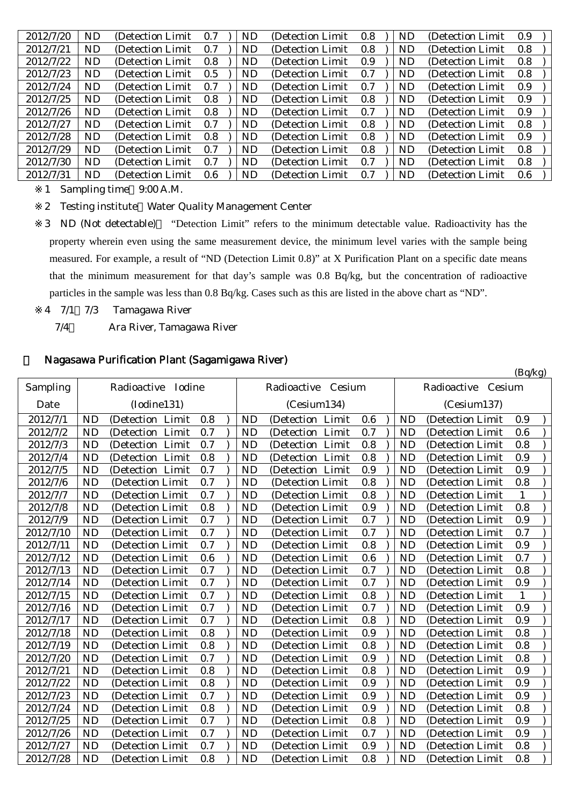| 2012/7/20 | ND        | (Detection Limit) | 0.7 | ND | (Detection Limit) | 0.8 | <b>ND</b> | (Detection Limit) | 0.9 |  |
|-----------|-----------|-------------------|-----|----|-------------------|-----|-----------|-------------------|-----|--|
| 2012/7/21 | ND        | (Detection Limit) | 0.7 | ND | (Detection Limit  | 0.8 | ND        | (Detection Limit) | 0.8 |  |
| 2012/7/22 | <b>ND</b> | (Detection Limit) | 0.8 | ND | (Detection Limit) | 0.9 | ND        | (Detection Limit) | 0.8 |  |
| 2012/7/23 | <b>ND</b> | (Detection Limit) | 0.5 | ND | (Detection Limit) | 0.7 | ND        | (Detection Limit) | 0.8 |  |
| 2012/7/24 | <b>ND</b> | (Detection Limit) | 0.7 | ND | (Detection Limit) | 0.7 | ND        | (Detection Limit) | 0.9 |  |
| 2012/7/25 | <b>ND</b> | (Detection Limit) | 0.8 | ND | (Detection Limit) | 0.8 | ND        | (Detection Limit) | 0.9 |  |
| 2012/7/26 | ND        | (Detection Limit) | 0.8 | ND | (Detection Limit) | 0.7 | ND        | (Detection Limit) | 0.9 |  |
| 2012/7/27 | ND        | (Detection Limit) | 0.7 | ND | (Detection Limit) | 0.8 | ND        | (Detection Limit) | 0.8 |  |
| 2012/7/28 | ND        | (Detection Limit) | 0.8 | ND | (Detection Limit) | 0.8 | ND        | (Detection Limit) | 0.9 |  |
| 2012/7/29 | <b>ND</b> | (Detection Limit) | 0.7 | ND | (Detection Limit) | 0.8 | ND        | (Detection Limit) | 0.8 |  |
| 2012/7/30 | <b>ND</b> | (Detection Limit) | 0.7 | ND | (Detection Limit) | 0.7 | ND        | (Detection Limit) | 0.8 |  |
| 2012/7/31 | ND        | (Detection Limit) | 0.6 | ND | (Detection Limit) | 0.7 | ND        | (Detection Limit) | 0.6 |  |

1 Sampling time 9:00 A.M.

2 Testing institute Water Quality Management Center

3 ND (Not detectable) "Detection Limit" refers to the minimum detectable value. Radioactivity has the property wherein even using the same measurement device, the minimum level varies with the sample being measured. For example, a result of "ND (Detection Limit 0.8)" at X Purification Plant on a specific date means that the minimum measurement for that day's sample was 0.8 Bq/kg, but the concentration of radioactive particles in the sample was less than 0.8 Bq/kg. Cases such as this are listed in the above chart as "ND".

- 4 7/1 7/3 Tamagawa River
	- 7/4~ Ara River, Tamagawa River

#### 5 Nagasawa Purification Plant (Sagamigawa River)

|           |           |                    |     |           |                    |         |                |                    | (Bq/kg)      |  |
|-----------|-----------|--------------------|-----|-----------|--------------------|---------|----------------|--------------------|--------------|--|
| Sampling  |           | Radioactive Iodine |     |           | Radioactive Cesium |         |                | Radioactive Cesium |              |  |
| Date      |           | (Iodine131)        |     |           | (Cesium134)        |         |                | (Cesium137)        |              |  |
| 2012/7/1  | <b>ND</b> | (Detection Limit   | 0.8 | <b>ND</b> | (Detection Limit   | 0.6     | <b>ND</b>      | (Detection Limit   | 0.9          |  |
| 2012/7/2  | <b>ND</b> | (Detection Limit   | 0.7 | <b>ND</b> | (Detection Limit   | 0.7     | <b>ND</b>      | (Detection Limit   | 0.6          |  |
| 2012/7/3  | <b>ND</b> | (Detection Limit   | 0.7 | <b>ND</b> | (Detection Limit   | 0.8     | <b>ND</b>      | (Detection Limit   | 0.8          |  |
| 2012/7/4  | <b>ND</b> | (Detection Limit   | 0.8 | <b>ND</b> | (Detection Limit   | 0.8     | <b>ND</b>      | (Detection Limit   | 0.9          |  |
| 2012/7/5  | <b>ND</b> | (Detection Limit   | 0.7 | <b>ND</b> | (Detection Limit   | 0.9     | <b>ND</b>      | (Detection Limit   | 0.9          |  |
| 2012/7/6  | <b>ND</b> | (Detection Limit   | 0.7 | <b>ND</b> | (Detection Limit   | 0.8     | <b>ND</b>      | (Detection Limit   | 0.8          |  |
| 2012/7/7  | <b>ND</b> | (Detection Limit   | 0.7 | <b>ND</b> | (Detection Limit   | 0.8     | <b>ND</b>      | (Detection Limit   | $\mathbf{1}$ |  |
| 2012/7/8  | <b>ND</b> | (Detection Limit   | 0.8 | <b>ND</b> | (Detection Limit   | 0.9     | <b>ND</b>      | (Detection Limit   | 0.8          |  |
| 2012/7/9  | <b>ND</b> | (Detection Limit)  | 0.7 | <b>ND</b> | (Detection Limit   | 0.7     | <b>ND</b>      | (Detection Limit)  | 0.9          |  |
| 2012/7/10 | <b>ND</b> | (Detection Limit   | 0.7 | <b>ND</b> | (Detection Limit   | 0.7     | <b>ND</b>      | (Detection Limit   | 0.7          |  |
| 2012/7/11 | <b>ND</b> | (Detection Limit   | 0.7 | <b>ND</b> | (Detection Limit   | 0.8     | <b>ND</b>      | (Detection Limit   | 0.9          |  |
| 2012/7/12 | <b>ND</b> | (Detection Limit   | 0.6 | <b>ND</b> | (Detection Limit   | 0.6     | <b>ND</b>      | (Detection Limit   | 0.7          |  |
| 2012/7/13 | <b>ND</b> | (Detection Limit)  | 0.7 | <b>ND</b> | (Detection Limit)  | 0.7     | <b>ND</b>      | (Detection Limit)  | 0.8          |  |
| 2012/7/14 | <b>ND</b> | (Detection Limit   | 0.7 | <b>ND</b> | (Detection Limit   | 0.7     | <b>ND</b>      | (Detection Limit   | 0.9          |  |
| 2012/7/15 | <b>ND</b> | (Detection Limit   | 0.7 | <b>ND</b> | (Detection Limit   | 0.8     | <b>ND</b>      | (Detection Limit)  | 1            |  |
| 2012/7/16 | <b>ND</b> | (Detection Limit   | 0.7 | <b>ND</b> | (Detection Limit   | 0.7     | <b>ND</b>      | (Detection Limit   | 0.9          |  |
| 2012/7/17 | <b>ND</b> | (Detection Limit   | 0.7 | <b>ND</b> | (Detection Limit   | 0.8     | <b>ND</b>      | (Detection Limit   | 0.9          |  |
| 2012/7/18 | <b>ND</b> | (Detection Limit   | 0.8 | <b>ND</b> | (Detection Limit   | 0.9     | N <sub>D</sub> | (Detection Limit   | 0.8          |  |
| 2012/7/19 | <b>ND</b> | (Detection Limit   | 0.8 | <b>ND</b> | (Detection Limit)  | 0.8     | <b>ND</b>      | (Detection Limit   | 0.8          |  |
| 2012/7/20 | <b>ND</b> | (Detection Limit   | 0.7 | <b>ND</b> | (Detection Limit)  | 0.9     | <b>ND</b>      | (Detection Limit   | 0.8          |  |
| 2012/7/21 | <b>ND</b> | (Detection Limit   | 0.8 | <b>ND</b> | (Detection Limit   | 0.8     | <b>ND</b>      | (Detection Limit   | 0.9          |  |
| 2012/7/22 | <b>ND</b> | (Detection Limit   | 0.8 | <b>ND</b> | (Detection Limit   | 0.9     | <b>ND</b>      | (Detection Limit   | 0.9          |  |
| 2012/7/23 | <b>ND</b> | (Detection Limit   | 0.7 | <b>ND</b> | (Detection Limit   | 0.9     | <b>ND</b>      | (Detection Limit   | 0.9          |  |
| 2012/7/24 | <b>ND</b> | (Detection Limit)  | 0.8 | <b>ND</b> | (Detection Limit   | 0.9     | <b>ND</b>      | (Detection Limit   | 0.8          |  |
| 2012/7/25 | <b>ND</b> | (Detection Limit   | 0.7 | <b>ND</b> | (Detection Limit   | 0.8     | <b>ND</b>      | (Detection Limit   | 0.9          |  |
| 2012/7/26 | <b>ND</b> | (Detection Limit   | 0.7 | <b>ND</b> | (Detection Limit   | 0.7     | <b>ND</b>      | (Detection Limit   | 0.9          |  |
| 2012/7/27 | <b>ND</b> | (Detection Limit   | 0.7 | <b>ND</b> | (Detection Limit   | $0.9\,$ | <b>ND</b>      | (Detection Limit   | 0.8          |  |
| 2012/7/28 | <b>ND</b> | (Detection Limit   | 0.8 | <b>ND</b> | (Detection Limit)  | 0.8     | <b>ND</b>      | (Detection Limit)  | 0.8          |  |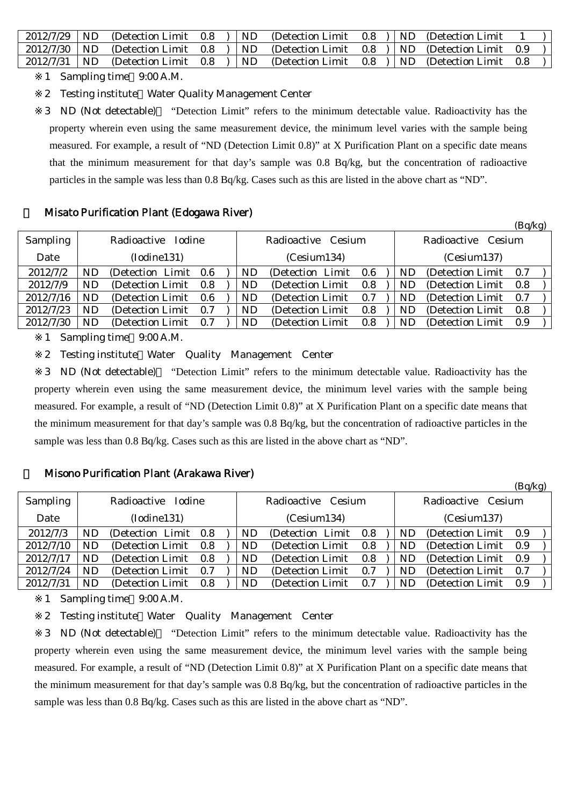| $2012/7/29$ ND   | (Detection Limit 0.8) |  | ND. | (Detection Limit $0.8$ )   ND (Detection Limit)                              |  |     |  |
|------------------|-----------------------|--|-----|------------------------------------------------------------------------------|--|-----|--|
| $2012/7/30$   ND | (Detection Limit 0.8) |  |     | )   ND (Detection Limit 0.8 )   ND (Detection Limit 0.9                      |  |     |  |
| $2012/7/31$   ND |                       |  |     | (Detection Limit $(0.8)$ ) ND (Detection Limit $(0.8)$ ) ND (Detection Limit |  | 0.8 |  |

1 Sampling time 9:00 A.M.

2 Testing institute Water Quality Management Center

3 ND (Not detectable) "Detection Limit" refers to the minimum detectable value. Radioactivity has the property wherein even using the same measurement device, the minimum level varies with the sample being measured. For example, a result of "ND (Detection Limit 0.8)" at X Purification Plant on a specific date means that the minimum measurement for that day's sample was 0.8 Bq/kg, but the concentration of radioactive particles in the sample was less than 0.8 Bq/kg. Cases such as this are listed in the above chart as "ND".

#### 6 Misato Purification Plant (Edogawa River)

|           |           |                       |     |           |                    |     |     |                    | $(\mathbf{D}\mathbf{q},\mathbf{R})$ |  |
|-----------|-----------|-----------------------|-----|-----------|--------------------|-----|-----|--------------------|-------------------------------------|--|
| Sampling  |           | Radioactive<br>Iodine |     |           | Radioactive Cesium |     |     | Radioactive Cesium |                                     |  |
| Date      |           | (Iodine131)           |     |           | (Cesium134)        |     |     | (Cesium137)        |                                     |  |
| 2012/7/2  | ND.       | (Detection Limit)     | 0.6 | ND        | (Detection Limit)  | 0.6 | ND. | (Detection Limit)  | 0.7                                 |  |
| 2012/7/9  | <b>ND</b> | (Detection Limit)     | 0.8 | ND        | (Detection Limit)  | 0.8 | ND. | (Detection Limit)  | 0.8                                 |  |
| 2012/7/16 | ND        | (Detection Limit)     | 0.6 | ND        | (Detection Limit)  | 0.7 | ND  | (Detection Limit)  | 0.7                                 |  |
| 2012/7/23 | <b>ND</b> | (Detection Limit)     | 0.7 | ND        | (Detection Limit)  | 0.8 | ND  | (Detection Limit)  | 0.8                                 |  |
| 2012/7/30 | ND.       | (Detection Limit)     | 0.7 | <b>ND</b> | (Detection Limit)  | 0.8 | ND  | (Detection Limit)  | 0.9                                 |  |

 $(D<sub>a</sub>/k<sub>a</sub>)$ 

 $(D_{\alpha}/k_{\alpha})$ 

1 Sampling time 9:00 A.M.

2 Testing institute Water Quality Management Center

3 ND (Not detectable) "Detection Limit" refers to the minimum detectable value. Radioactivity has the property wherein even using the same measurement device, the minimum level varies with the sample being measured. For example, a result of "ND (Detection Limit 0.8)" at X Purification Plant on a specific date means that the minimum measurement for that day's sample was 0.8 Bq/kg, but the concentration of radioactive particles in the sample was less than 0.8 Bq/kg. Cases such as this are listed in the above chart as "ND".

#### 7 Misono Purification Plant (Arakawa River)

|           |           |                       |     |  |     |                    |     |           |                       | $(Dq \land R)$ |  |
|-----------|-----------|-----------------------|-----|--|-----|--------------------|-----|-----------|-----------------------|----------------|--|
| Sampling  |           | Radioactive<br>Iodine |     |  |     | Radioactive Cesium |     |           | Radioactive<br>Cesium |                |  |
| Date      |           | (Iodine131)           |     |  |     | (Cesium134)        |     |           | (Cesium137)           |                |  |
| 2012/7/3  | <b>ND</b> | (Detection Limit 0.8) |     |  | ND  | (Detection Limit)  | 0.8 | ND.       | (Detection Limit)     | 0.9            |  |
| 2012/7/10 | ND.       | (Detection Limit)     | 0.8 |  | ND. | (Detection Limit)  | 0.8 | ND.       | (Detection Limit)     | 0.9            |  |
| 2012/7/17 | ND.       | (Detection Limit)     | 0.8 |  | ND  | (Detection Limit)  | 0.8 | ND.       | (Detection Limit)     | 0.9            |  |
| 2012/7/24 | ND.       | (Detection Limit)     | 0.7 |  | ND  | (Detection Limit)  | 0.7 | ND        | (Detection Limit)     | 0.7            |  |
| 2012/7/31 | ND.       | (Detection Limit)     | 0.8 |  | ND  | (Detection Limit)  | 0.7 | <b>ND</b> | (Detection Limit)     | 0.9            |  |

1 Sampling time 9:00 A.M.

2 Testing institute Water Quality Management Center

3 ND (Not detectable) "Detection Limit" refers to the minimum detectable value. Radioactivity has the property wherein even using the same measurement device, the minimum level varies with the sample being measured. For example, a result of "ND (Detection Limit 0.8)" at X Purification Plant on a specific date means that the minimum measurement for that day's sample was 0.8 Bq/kg, but the concentration of radioactive particles in the sample was less than 0.8 Bq/kg. Cases such as this are listed in the above chart as "ND".